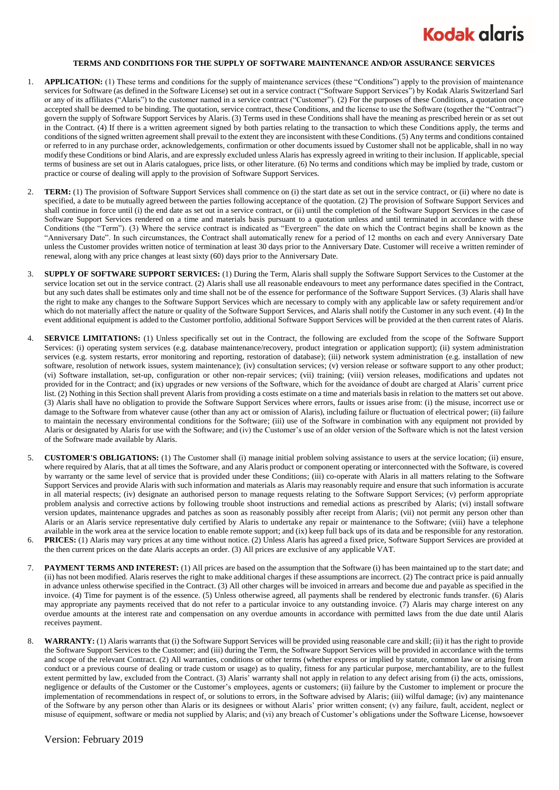## **Kodak alaris**

## **TERMS AND CONDITIONS FOR THE SUPPLY OF SOFTWARE MAINTENANCE AND/OR ASSURANCE SERVICES**

- 1. **APPLICATION:** (1) These terms and conditions for the supply of maintenance services (these "Conditions") apply to the provision of maintenance services for Software (as defined in the Software License) set out in a service contract ("Software Support Services") by Kodak Alaris Switzerland Sarl or any of its affiliates ("Alaris") to the customer named in a service contract ("Customer"). (2) For the purposes of these Conditions, a quotation once accepted shall be deemed to be binding. The quotation, service contract, these Conditions, and the license to use the Software (together the "Contract") govern the supply of Software Support Services by Alaris. (3) Terms used in these Conditions shall have the meaning as prescribed herein or as set out in the Contract. (4) If there is a written agreement signed by both parties relating to the transaction to which these Conditions apply, the terms and conditions of the signed written agreement shall prevail to the extent they are inconsistent with these Conditions. (5) Any terms and conditions contained or referred to in any purchase order, acknowledgements, confirmation or other documents issued by Customer shall not be applicable, shall in no way modify these Conditions or bind Alaris, and are expressly excluded unless Alaris has expressly agreed in writing to their inclusion. If applicable, special terms of business are set out in Alaris catalogues, price lists, or other literature. (6) No terms and conditions which may be implied by trade, custom or practice or course of dealing will apply to the provision of Software Support Services.
- 2. **TERM:** (1) The provision of Software Support Services shall commence on (i) the start date as set out in the service contract, or (ii) where no date is specified, a date to be mutually agreed between the parties following acceptance of the quotation. (2) The provision of Software Support Services and shall continue in force until (i) the end date as set out in a service contract, or (ii) until the completion of the Software Support Services in the case of Software Support Services rendered on a time and materials basis pursuant to a quotation unless and until terminated in accordance with these Conditions (the "Term"). (3) Where the service contract is indicated as "Evergreen" the date on which the Contract begins shall be known as the "Anniversary Date". In such circumstances, the Contract shall automatically renew for a period of 12 months on each and every Anniversary Date unless the Customer provides written notice of termination at least 30 days prior to the Anniversary Date. Customer will receive a written reminder of renewal, along with any price changes at least sixty (60) days prior to the Anniversary Date.
- 3. **SUPPLY OF SOFTWARE SUPPORT SERVICES:** (1) During the Term, Alaris shall supply the Software Support Services to the Customer at the service location set out in the service contract. (2) Alaris shall use all reasonable endeavours to meet any performance dates specified in the Contract, but any such dates shall be estimates only and time shall not be of the essence for performance of the Software Support Services. (3) Alaris shall have the right to make any changes to the Software Support Services which are necessary to comply with any applicable law or safety requirement and/or which do not materially affect the nature or quality of the Software Support Services, and Alaris shall notify the Customer in any such event. (4) In the event additional equipment is added to the Customer portfolio, additional Software Support Services will be provided at the then current rates of Alaris.
- 4. **SERVICE LIMITATIONS:** (1) Unless specifically set out in the Contract, the following are excluded from the scope of the Software Support Services: (i) operating system services (e.g. database maintenance/recovery, product integration or application support); (ii) system administration services (e.g. system restarts, error monitoring and reporting, restoration of database); (iii) network system administration (e.g. installation of new software, resolution of network issues, system maintenance); (iv) consultation services; (v) version release or software support to any other product; (vi) Software installation, set-up, configuration or other non-repair services; (vii) training; (viii) version releases, modifications and updates not provided for in the Contract; and (ix) upgrades or new versions of the Software, which for the avoidance of doubt are charged at Alaris' current price list. (2) Nothing in this Section shall prevent Alaris from providing a costs estimate on a time and materials basis in relation to the matters set out above. (3) Alaris shall have no obligation to provide the Software Support Services where errors, faults or issues arise from: (i) the misuse, incorrect use or damage to the Software from whatever cause (other than any act or omission of Alaris), including failure or fluctuation of electrical power; (ii) failure to maintain the necessary environmental conditions for the Software; (iii) use of the Software in combination with any equipment not provided by Alaris or designated by Alaris for use with the Software; and (iv) the Customer's use of an older version of the Software which is not the latest version of the Software made available by Alaris.
- 5. **CUSTOMER'S OBLIGATIONS:** (1) The Customer shall (i) manage initial problem solving assistance to users at the service location; (ii) ensure, where required by Alaris, that at all times the Software, and any Alaris product or component operating or interconnected with the Software, is covered by warranty or the same level of service that is provided under these Conditions; (iii) co-operate with Alaris in all matters relating to the Software Support Services and provide Alaris with such information and materials as Alaris may reasonably require and ensure that such information is accurate in all material respects; (iv) designate an authorised person to manage requests relating to the Software Support Services; (v) perform appropriate problem analysis and corrective actions by following trouble shoot instructions and remedial actions as prescribed by Alaris; (vi) install software version updates, maintenance upgrades and patches as soon as reasonably possibly after receipt from Alaris; (vii) not permit any person other than Alaris or an Alaris service representative duly certified by Alaris to undertake any repair or maintenance to the Software; (viii) have a telephone available in the work area at the service location to enable remote support; and (ix) keep full back ups of its data and be responsible for any restoration. 6. **PRICES:** (1) Alaris may vary prices at any time without notice. (2) Unless Alaris has agreed a fixed price, Software Support Services are provided at
- the then current prices on the date Alaris accepts an order. (3) All prices are exclusive of any applicable VAT.
- 7. **PAYMENT TERMS AND INTEREST:** (1) All prices are based on the assumption that the Software (i) has been maintained up to the start date; and (ii) has not been modified. Alaris reserves the right to make additional charges if these assumptions are incorrect. (2) The contract price is paid annually in advance unless otherwise specified in the Contract. (3) All other charges will be invoiced in arrears and become due and payable as specified in the invoice. (4) Time for payment is of the essence. (5) Unless otherwise agreed, all payments shall be rendered by electronic funds transfer. (6) Alaris may appropriate any payments received that do not refer to a particular invoice to any outstanding invoice. (7) Alaris may charge interest on any overdue amounts at the interest rate and compensation on any overdue amounts in accordance with permitted laws from the due date until Alaris receives payment.
- 8. **WARRANTY:** (1) Alaris warrants that (i) the Software Support Services will be provided using reasonable care and skill; (ii) it has the right to provide the Software Support Services to the Customer; and (iii) during the Term, the Software Support Services will be provided in accordance with the terms and scope of the relevant Contract. (2) All warranties, conditions or other terms (whether express or implied by statute, common law or arising from conduct or a previous course of dealing or trade custom or usage) as to quality, fitness for any particular purpose, merchantability, are to the fullest extent permitted by law, excluded from the Contract. (3) Alaris' warranty shall not apply in relation to any defect arising from (i) the acts, omissions, negligence or defaults of the Customer or the Customer's employees, agents or customers; (ii) failure by the Customer to implement or procure the implementation of recommendations in respect of, or solutions to errors, in the Software advised by Alaris; (iii) wilful damage; (iv) any maintenance of the Software by any person other than Alaris or its designees or without Alaris' prior written consent; (v) any failure, fault, accident, neglect or misuse of equipment, software or media not supplied by Alaris; and (vi) any breach of Customer's obligations under the Software License, howsoever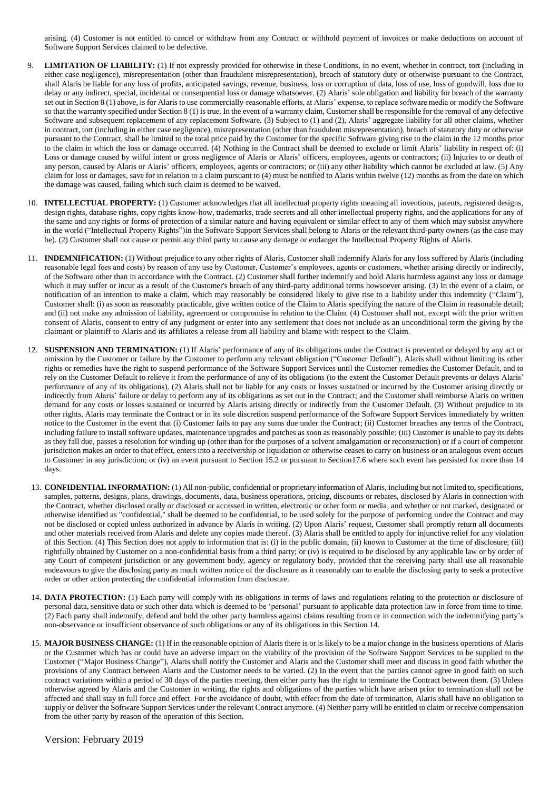arising. (4) Customer is not entitled to cancel or withdraw from any Contract or withhold payment of invoices or make deductions on account of Software Support Services claimed to be defective.

- **LIMITATION OF LIABILITY:** (1) If not expressly provided for otherwise in these Conditions, in no event, whether in contract, tort (including in either case negligence), misrepresentation (other than fraudulent misrepresentation), breach of statutory duty or otherwise pursuant to the Contract, shall Alaris be liable for any loss of profits, anticipated savings, revenue, business, loss or corruption of data, loss of use, loss of goodwill, loss due to delay or any indirect, special, incidental or consequential loss or damage whatsoever. (2) Alaris' sole obligation and liability for breach of the warranty set out in Section 8 (1) above, is for Alaris to use commercially-reasonable efforts, at Alaris' expense, to replace software media or modify the Software so that the warranty specified under Section 8 (1) is true. In the event of a warranty claim, Customer shall be responsible for the removal of any defective Software and subsequent replacement of any replacement Software. (3) Subject to (1) and (2), Alaris' aggregate liability for all other claims, whether in contract, tort (including in either case negligence), misrepresentation (other than fraudulent misrepresentation), breach of statutory duty or otherwise pursuant to the Contract, shall be limited to the total price paid by the Customer for the specific Software giving rise to the claim in the 12 months prior to the claim in which the loss or damage occurred. (4) Nothing in the Contract shall be deemed to exclude or limit Alaris' liability in respect of: (i) Loss or damage caused by wilful intent or gross negligence of Alaris or Alaris' officers, employees, agents or contractors; (ii) Injuries to or death of any person, caused by Alaris or Alaris' officers, employees, agents or contractors; or (iii) any other liability which cannot be excluded at law. (5) Any claim for loss or damages, save for in relation to a claim pursuant to (4) must be notified to Alaris within twelve (12) months as from the date on which the damage was caused, failing which such claim is deemed to be waived.
- 10. **INTELLECTUAL PROPERTY:** (1) Customer acknowledges that all intellectual property rights meaning all inventions, patents, registered designs, design rights, database rights, copy rights know-how, trademarks, trade secrets and all other intellectual property rights, and the applications for any of the same and any rights or forms of protection of a similar nature and having equivalent or similar effect to any of them which may subsist anywhere in the world ("Intellectual Property Rights")in the Software Support Services shall belong to Alaris or the relevant third-party owners (as the case may be). (2) Customer shall not cause or permit any third party to cause any damage or endanger the Intellectual Property Rights of Alaris.
- 11. **INDEMNIFICATION:** (1) Without prejudice to any other rights of Alaris, Customer shall indemnify Alaris for any loss suffered by Alaris (including reasonable legal fees and costs) by reason of any use by Customer, Customer's employees, agents or customers, whether arising directly or indirectly, of the Software other than in accordance with the Contract. (2) Customer shall further indemnify and hold Alaris harmless against any loss or damage which it may suffer or incur as a result of the Customer's breach of any third-party additional terms howsoever arising. (3) In the event of a claim, or notification of an intention to make a claim, which may reasonably be considered likely to give rise to a liability under this indemnity ("Claim"), Customer shall: (i) as soon as reasonably practicable, give written notice of the Claim to Alaris specifying the nature of the Claim in reasonable detail; and (ii) not make any admission of liability, agreement or compromise in relation to the Claim. (4) Customer shall not, except with the prior written consent of Alaris, consent to entry of any judgment or enter into any settlement that does not include as an unconditional term the giving by the claimant or plaintiff to Alaris and its affiliates a release from all liability and blame with respect to the Claim.
- 12. **SUSPENSION AND TERMINATION:** (1) If Alaris' performance of any of its obligations under the Contract is prevented or delayed by any act or omission by the Customer or failure by the Customer to perform any relevant obligation ("Customer Default"), Alaris shall without limiting its other rights or remedies have the right to suspend performance of the Software Support Services until the Customer remedies the Customer Default, and to rely on the Customer Default to relieve it from the performance of any of its obligations (to the extent the Customer Default prevents or delays Alaris' performance of any of its obligations). (2) Alaris shall not be liable for any costs or losses sustained or incurred by the Customer arising directly or indirectly from Alaris' failure or delay to perform any of its obligations as set out in the Contract; and the Customer shall reimburse Alaris on written demand for any costs or losses sustained or incurred by Alaris arising directly or indirectly from the Customer Default. (3) Without prejudice to its other rights, Alaris may terminate the Contract or in its sole discretion suspend performance of the Software Support Services immediately by written notice to the Customer in the event that (i) Customer fails to pay any sums due under the Contract; (ii) Customer breaches any terms of the Contract, including failure to install software updates, maintenance upgrades and patches as soon as reasonably possible; (iii) Customer is unable to pay its debts as they fall due, passes a resolution for winding up (other than for the purposes of a solvent amalgamation or reconstruction) or if a court of competent jurisdiction makes an order to that effect, enters into a receivership or liquidation or otherwise ceases to carry on business or an analogous event occurs to Customer in any jurisdiction; or (iv) an event pursuant to Section 15.2 or pursuant to Section 17.6 where such event has persisted for more than 14 days.
- 13. **CONFIDENTIAL INFORMATION:** (1) All non-public, confidential or proprietary information of Alaris, including but not limited to, specifications, samples, patterns, designs, plans, drawings, documents, data, business operations, pricing, discounts or rebates, disclosed by Alaris in connection with the Contract, whether disclosed orally or disclosed or accessed in written, electronic or other form or media, and whether or not marked, designated or otherwise identified as "confidential," shall be deemed to be confidential, to be used solely for the purpose of performing under the Contract and may not be disclosed or copied unless authorized in advance by Alaris in writing. (2) Upon Alaris' request, Customer shall promptly return all documents and other materials received from Alaris and delete any copies made thereof. (3) Alaris shall be entitled to apply for injunctive relief for any violation of this Section. (4) This Section does not apply to information that is: (i) in the public domain; (ii) known to Customer at the time of disclosure; (iii) rightfully obtained by Customer on a non-confidential basis from a third party; or (iv) is required to be disclosed by any applicable law or by order of any Court of competent jurisdiction or any government body, agency or regulatory body, provided that the receiving party shall use all reasonable endeavours to give the disclosing party as much written notice of the disclosure as it reasonably can to enable the disclosing party to seek a protective order or other action protecting the confidential information from disclosure.
- 14. **DATA PROTECTION:** (1) Each party will comply with its obligations in terms of laws and regulations relating to the protection or disclosure of personal data, sensitive data or such other data which is deemed to be 'personal' pursuant to applicable data protection law in force from time to time. (2) Each party shall indemnify, defend and hold the other party harmless against claims resulting from or in connection with the indemnifying party's non-observance or insufficient observance of such obligations or any of its obligations in this Section 14.
- 15. **MAJOR BUSINESS CHANGE:** (1) If in the reasonable opinion of Alaris there is or is likely to be a major change in the business operations of Alaris or the Customer which has or could have an adverse impact on the viability of the provision of the Software Support Services to be supplied to the Customer ("Major Business Change"), Alaris shall notify the Customer and Alaris and the Customer shall meet and discuss in good faith whether the provisions of any Contract between Alaris and the Customer needs to be varied. (2) In the event that the parties cannot agree in good faith on such contract variations within a period of 30 days of the parties meeting, then either party has the right to terminate the Contract between them. (3) Unless otherwise agreed by Alaris and the Customer in writing, the rights and obligations of the parties which have arisen prior to termination shall not be affected and shall stay in full force and effect. For the avoidance of doubt, with effect from the date of termination, Alaris shall have no obligation to supply or deliver the Software Support Services under the relevant Contract anymore. (4) Neither party will be entitled to claim or receive compensation from the other party by reason of the operation of this Section.